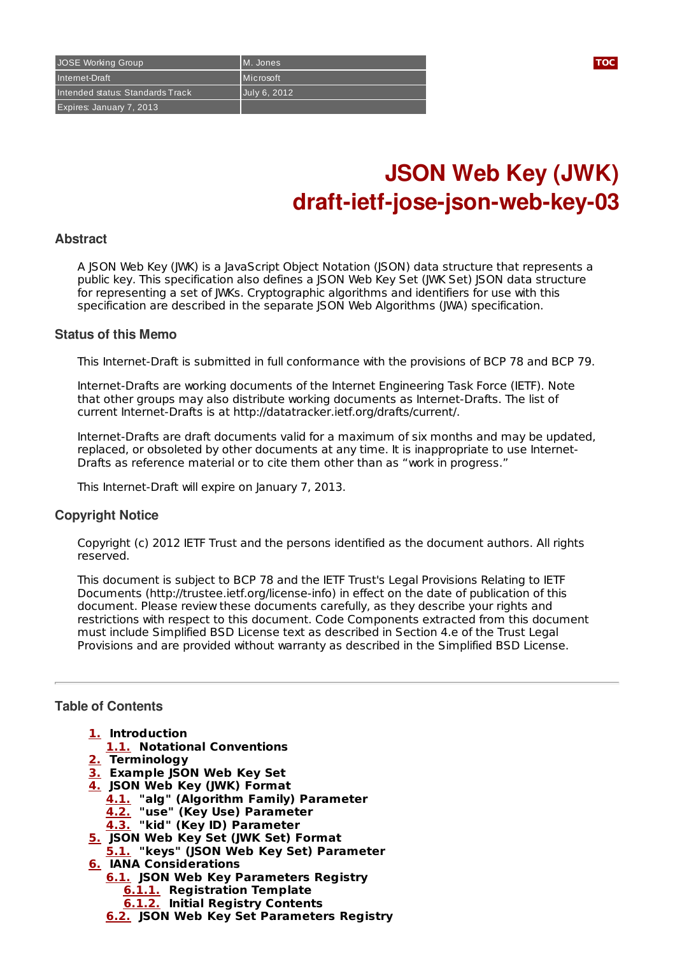# **JSON Web Key (JWK) draft-ietf-jose-json-web-key-03**

## **Abstract**

A JSON Web Key (JWK) is a JavaScript Object Notation (JSON) data structure that represents a public key. This specification also defines a JSON Web Key Set (JWK Set) JSON data structure for representing a set of JWKs. Cryptographic algorithms and identifiers for use with this specification are described in the separate JSON Web Algorithms (JWA) specification.

## **Status of this Memo**

This Internet-Draft is submitted in full conformance with the provisions of BCP 78 and BCP 79.

Internet-Drafts are working documents of the Internet Engineering Task Force (IETF). Note that other groups may also distribute working documents as Internet-Drafts. The list of current Internet-Drafts is at http://datatracker.ietf.org/drafts/current/.

Internet-Drafts are draft documents valid for a maximum of six months and may be updated, replaced, or obsoleted by other documents at any time. It is inappropriate to use Internet-Drafts as reference material or to cite them other than as "work in progress."

This Internet-Draft will expire on January 7, 2013.

## **Copyright Notice**

Copyright (c) 2012 IETF Trust and the persons identified as the document authors. All rights reserved.

This document is subject to BCP 78 and the IETF Trust's Legal Provisions Relating to IETF Documents (http://trustee.ietf.org/license-info) in effect on the date of publication of this document. Please review these documents carefully, as they describe your rights and restrictions with respect to this document. Code Components extracted from this document must include Simplified BSD License text as described in Section 4.e of the Trust Legal Provisions and are provided without warranty as described in the Simplified BSD License.

## <span id="page-0-0"></span>**Table of Contents**

- **[1.](#page-1-0) Introduction**
- **[1.1.](#page-1-1) Notational Conventions**
- **[2.](#page-1-2) Terminology**
- **[3.](#page-1-3) Example JSON Web Key Set**
- **[4.](#page-2-0) JSON Web Key (JWK) Format**
	- **[4.1.](#page-2-1) "alg" (Algorithm Family) Parameter**
	- **[4.2.](#page-2-2) "use" (Key Use) Parameter**
	- **[4.3.](#page-3-0) "kid" (Key ID) Parameter**
- **[5.](#page-3-1) JSON Web Key Set (JWK Set) Format**
- **[5.1.](#page-3-2) "keys" (JSON Web Key Set) Parameter**
- **[6.](#page-3-3) IANA Considerations**
	- **[6.1.](#page-4-0) JSON Web Key Parameters Registry**
		- **[6.1.1.](#page-4-1) Registration Template**
		- **[6.1.2.](#page-4-2) Initial Registry Contents**
	- **[6.2.](#page-4-3) JSON Web Key Set Parameters Registry**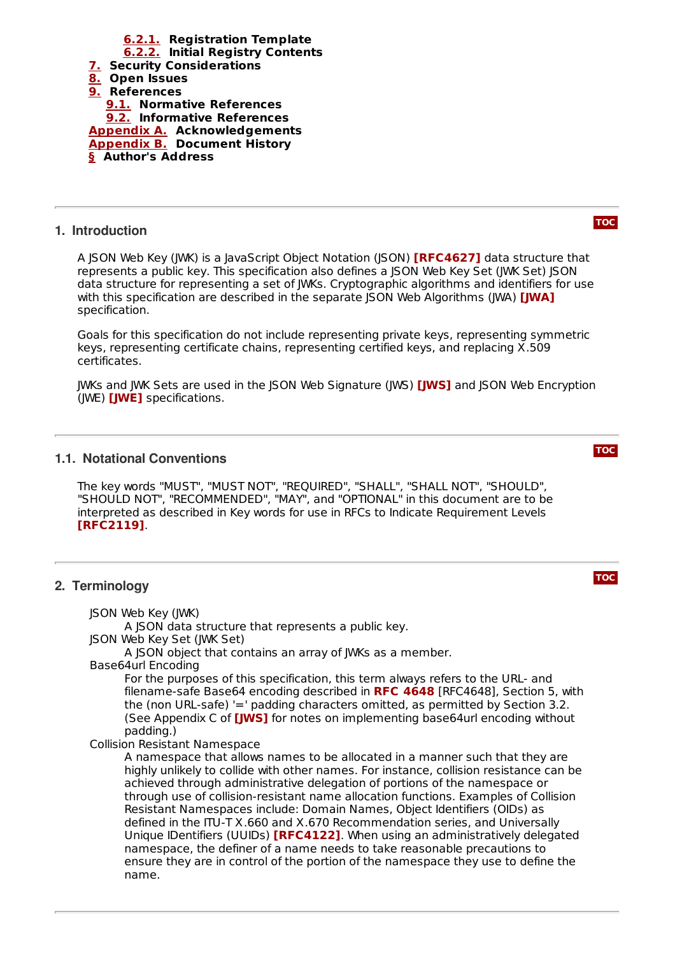

## <span id="page-1-0"></span>**1. Introduction**

A JSON Web Key (JWK) is a JavaScript Object Notation (JSON) **[\[RFC4627\]](#page-5-5)** data structure that represents a public key. This specification also defines a JSON Web Key Set (JWK Set) JSON data structure for representing a set of JWKs. Cryptographic algorithms and identifiers for use with this specification are described in the separate JSON Web Algorithms (JWA) **[\[JWA\]](#page-5-6)** specification.

Goals for this specification do not include representing private keys, representing symmetric keys, representing certificate chains, representing certified keys, and replacing X.509 certificates.

JWKs and JWK Sets are used in the JSON Web Signature (JWS) **[\[JWS\]](#page-5-7)** and JSON Web Encryption (JWE) [\[JWE\]](#page-5-8) specifications.

## <span id="page-1-1"></span>**1.1. Notational Conventions**

The key words "MUST", "MUST NOT", "REQUIRED", "SHALL", "SHALL NOT", "SHOULD", "SHOULD NOT", "RECOMMENDED", "MAY", and "OPTIONAL" in this document are to be interpreted as described in Key words for use in RFCs to Indicate Requirement Levels . **[\[RFC2119\]](#page-5-9)**

## <span id="page-1-2"></span>**2. Terminology**

JSON Web Key (JWK) A JSON data structure that represents a public key.

JSON Web Key Set (JWK Set)

A JSON object that contains an array of JWKs as a member.

Base64url Encoding

For the purposes of this specification, this term always refers to the URL- and filename-safe Base64 encoding described in RFC [4648](#page-5-10) [RFC4648], Section 5, with the (non URL-safe) '=' padding characters omitted, as permitted by Section 3.2. (See Appendix C of **[\[JWS\]](#page-5-7)** for notes on implementing base64url encoding without padding.)

Collision Resistant Namespace

<span id="page-1-3"></span>A namespace that allows names to be allocated in a manner such that they are highly unlikely to collide with other names. For instance, collision resistance can be achieved through administrative delegation of portions of the namespace or through use of collision-resistant name allocation functions. Examples of Collision Resistant Namespaces include: Domain Names, Object Identifiers (OIDs) as defined in the ITU-T X.660 and X.670 Recommendation series, and Universally Unique IDentifiers (UUIDs) **[\[RFC4122\]](#page-6-3)**. When using an administratively delegated namespace, the definer of a name needs to take reasonable precautions to ensure they are in control of the portion of the namespace they use to define the name.

**[TOC](#page-0-0)**

**[TOC](#page-0-0)**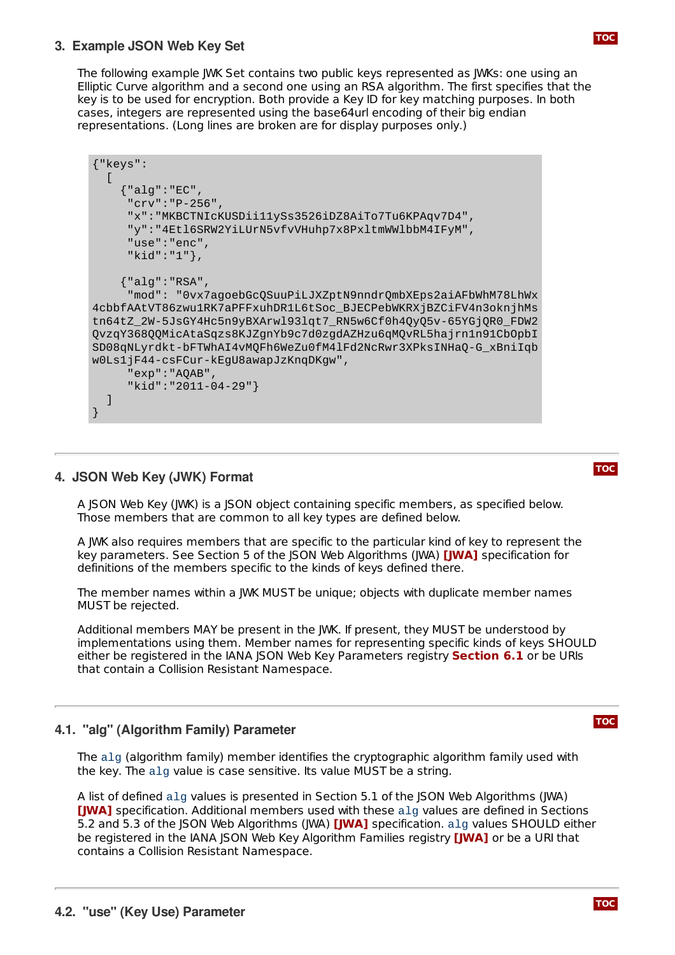## **3. Example JSON Web Key Set**

The following example JWK Set contains two public keys represented as JWKs: one using an Elliptic Curve algorithm and a second one using an RSA algorithm. The first specifies that the key is to be used for encryption. Both provide a Key ID for key matching purposes. In both cases, integers are represented using the base64url encoding of their big endian representations. (Long lines are broken are for display purposes only.)

```
{"keys":
  [
    {"alg":"EC",
     "crv":"P-256",
     "x":"MKBCTNIcKUSDii11ySs3526iDZ8AiTo7Tu6KPAqv7D4",
     "y":"4Etl6SRW2YiLUrN5vfvVHuhp7x8PxltmWWlbbM4IFyM",
     "use":"enc",
     "kid":"1"},
    {"alg":"RSA",
     "mod": "0vx7agoebGcQSuuPiLJXZptN9nndrQmbXEps2aiAFbWhM78LhWx
4cbbfAAtVT86zwu1RK7aPFFxuhDR1L6tSoc_BJECPebWKRXjBZCiFV4n3oknjhMs
tn64tZ_2W-5JsGY4Hc5n9yBXArwl93lqt7_RN5w6Cf0h4QyQ5v-65YGjQR0_FDW2
QvzqY368QQMicAtaSqzs8KJZgnYb9c7d0zgdAZHzu6qMQvRL5hajrn1n91CbOpbI
SD08qNLyrdkt-bFTWhAI4vMQFh6WeZu0fM4lFd2NcRwr3XPksINHaQ-G_xBniIqb
w0Ls1jF44-csFCur-kEgU8awapJzKnqDKgw",
     "exp":"AQAB",
     "kid":"2011-04-29"}
  ]
}
```
## <span id="page-2-0"></span>**4. JSON Web Key (JWK) Format**

A JSON Web Key (JWK) is a JSON object containing specific members, as specified below. Those members that are common to all key types are defined below.

A JWK also requires members that are specific to the particular kind of key to represent the key parameters. See Section 5 of the JSON Web Algorithms (JWA) **[\[JWA\]](#page-5-6)** specification for definitions of the members specific to the kinds of keys defined there.

The member names within a JWK MUST be unique; objects with duplicate member names MUST be rejected.

Additional members MAY be present in the JWK. If present, they MUST be understood by implementations using them. Member names for representing specific kinds of keys SHOULD either be registered in the IANA JSON Web Key Parameters registry **[Section](#page-4-0) 6.1** or be URIs that contain a Collision Resistant Namespace.

## <span id="page-2-1"></span>**4.1. "alg" (Algorithm Family) Parameter**

The alg (algorithm family) member identifies the cryptographic algorithm family used with the key. The alg value is case sensitive. Its value MUST be a string.

<span id="page-2-2"></span>A list of defined alg values is presented in Section 5.1 of the JSON Web Algorithms (JWA) **[\[JWA\]](#page-5-6)** specification. Additional members used with these alg values are defined in Sections 5.2 and 5.3 of the JSON Web Algorithms (JWA) **[\[JWA\]](#page-5-6)** specification. alg values SHOULD either be registered in the IANA JSON Web Key Algorithm Families registry **[\[JWA\]](#page-5-6)** or be a URI that contains a Collision Resistant Namespace.

**[TOC](#page-0-0)**

**[TOC](#page-0-0)**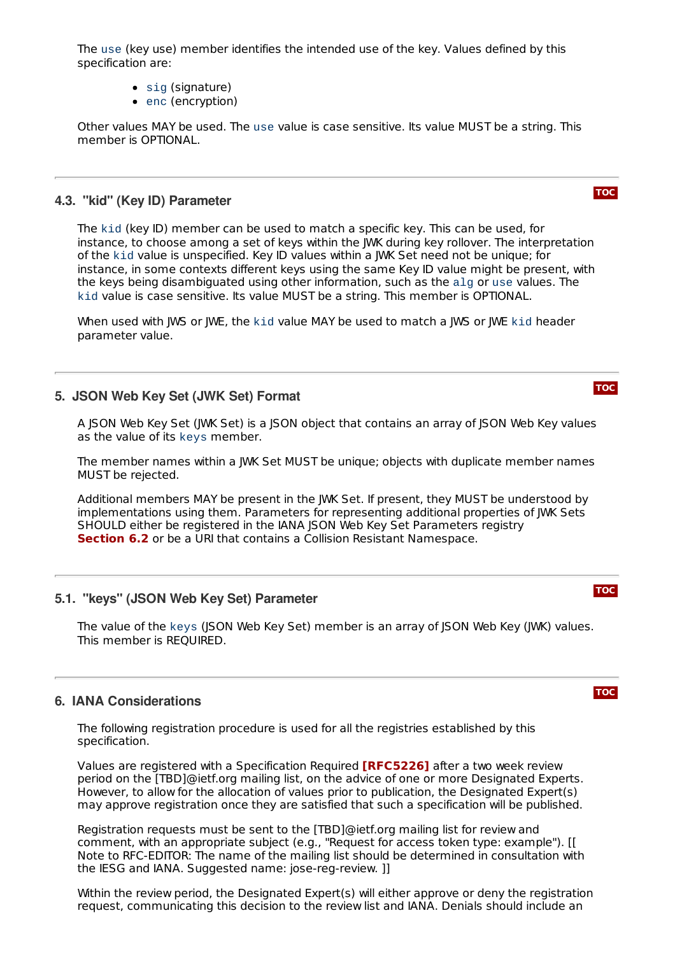The use (key use) member identifies the intended use of the key. Values defined by this specification are:

- $\bullet$  sig (signature)
- enc (encryption)

Other values MAY be used. The use value is case sensitive. Its value MUST be a string. This member is OPTIONAL.

## <span id="page-3-0"></span>**4.3. "kid" (Key ID) Parameter**

The kid (key ID) member can be used to match a specific key. This can be used, for instance, to choose among a set of keys within the JWK during key rollover. The interpretation of the kid value is unspecified. Key ID values within a JWK Set need not be unique; for instance, in some contexts different keys using the same Key ID value might be present, with the keys being disambiguated using other information, such as the alg or use values. The kid value is case sensitive. Its value MUST be a string. This member is OPTIONAL.

When used with JWS or JWE, the kid value MAY be used to match a JWS or JWE kid header parameter value.

## <span id="page-3-1"></span>**5. JSON Web Key Set (JWK Set) Format**

A JSON Web Key Set (JWK Set) is a JSON object that contains an array of JSON Web Key values as the value of its keys member.

The member names within a JWK Set MUST be unique; objects with duplicate member names MUST be rejected.

Additional members MAY be present in the JWK Set. If present, they MUST be understood by implementations using them. Parameters for representing additional properties of JWK Sets SHOULD either be registered in the IANA JSON Web Key Set Parameters registry **[Section](#page-4-3) 6.2** or be a URI that contains a Collision Resistant Namespace.

## <span id="page-3-2"></span>**5.1. "keys" (JSON Web Key Set) Parameter**

The value of the keys (JSON Web Key Set) member is an array of JSON Web Key (JWK) values. This member is REQUIRED.

## <span id="page-3-3"></span>**6. IANA Considerations**

The following registration procedure is used for all the registries established by this specification.

Values are registered with a Specification Required **[\[RFC5226\]](#page-5-11)** after a two week review period on the [TBD]@ietf.org mailing list, on the advice of one or more Designated Experts. However, to allow for the allocation of values prior to publication, the Designated Expert(s) may approve registration once they are satisfied that such a specification will be published.

Registration requests must be sent to the [TBD]@ietf.org mailing list for review and comment, with an appropriate subject (e.g., "Request for access token type: example"). [[ Note to RFC-EDITOR: The name of the mailing list should be determined in consultation with the IESG and IANA. Suggested name: jose-reg-review. ]]

Within the review period, the Designated Expert(s) will either approve or deny the registration request, communicating this decision to the review list and IANA. Denials should include an

**[TOC](#page-0-0)**

### **[TOC](#page-0-0)**

**[TOC](#page-0-0)**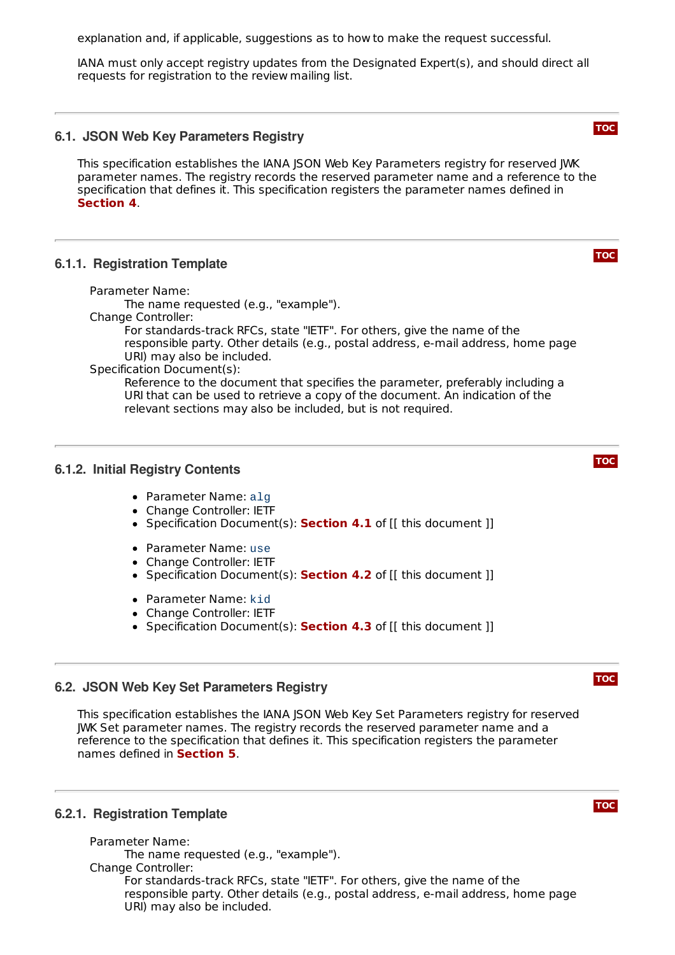explanation and, if applicable, suggestions as to how to make the request successful.

IANA must only accept registry updates from the Designated Expert(s), and should direct all requests for registration to the review mailing list.

## <span id="page-4-0"></span>**6.1. JSON Web Key Parameters Registry**

This specification establishes the IANA JSON Web Key Parameters registry for reserved JWK parameter names. The registry records the reserved parameter name and a reference to the specification that defines it. This specification registers the parameter names defined in . **[Section](#page-2-0) 4**

## <span id="page-4-1"></span>**6.1.1. Registration Template**

Parameter Name:

The name requested (e.g., "example").

Change Controller:

For standards-track RFCs, state "IETF". For others, give the name of the responsible party. Other details (e.g., postal address, e-mail address, home page URI) may also be included.

Specification Document(s):

Reference to the document that specifies the parameter, preferably including a URI that can be used to retrieve a copy of the document. An indication of the relevant sections may also be included, but is not required.

## <span id="page-4-2"></span>**6.1.2. Initial Registry Contents**

- Parameter Name: alg
- Change Controller: IETF
- Specification Document(s): **[Section](#page-2-1) 4.1** of [[ this document ]]
- Parameter Name: use
- Change Controller: IETF
- Specification Document(s): **[Section](#page-2-2) 4.2** of [[ this document ]]
- Parameter Name: kid
- Change Controller: IETF
- Specification Document(s): **[Section](#page-3-0) 4.3** of [[ this document ]]

## <span id="page-4-3"></span>**6.2. JSON Web Key Set Parameters Registry**

This specification establishes the IANA ISON Web Key Set Parameters registry for reserved JWK Set parameter names. The registry records the reserved parameter name and a reference to the specification that defines it. This specification registers the parameter names defined in **[Section](#page-3-1) 5**.

#### <span id="page-4-4"></span>**6.2.1. Registration Template**

Parameter Name:

The name requested (e.g., "example").

Change Controller: For standards-track RFCs, state "IETF". For others, give the name of the responsible party. Other details (e.g., postal address, e-mail address, home page URI) may also be included.

## **[TOC](#page-0-0)**





**[TOC](#page-0-0)**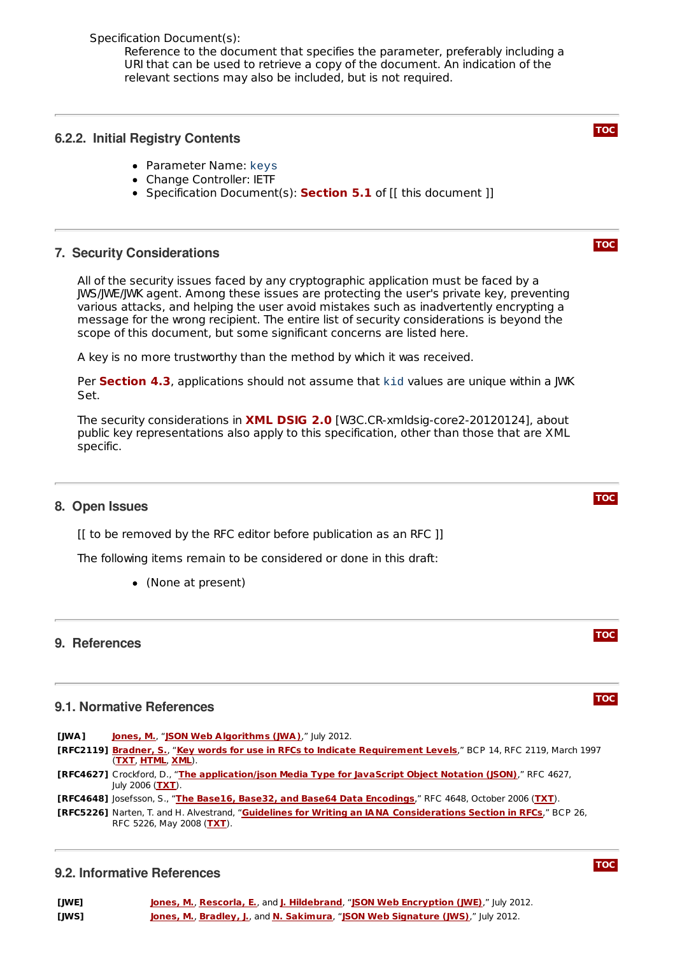Specification Document(s):

Reference to the document that specifies the parameter, preferably including a URI that can be used to retrieve a copy of the document. An indication of the relevant sections may also be included, but is not required.

## <span id="page-5-0"></span>**6.2.2. Initial Registry Contents**

- Parameter Name: keys
- Change Controller: IETF
- Specification Document(s): **[Section](#page-3-2) 5.1** of [[ this document ]]

## <span id="page-5-1"></span>**7. Security Considerations**

All of the security issues faced by any cryptographic application must be faced by a JWS/JWE/JWK agent. Among these issues are protecting the user's private key, preventing various attacks, and helping the user avoid mistakes such as inadvertently encrypting a message for the wrong recipient. The entire list of security considerations is beyond the scope of this document, but some significant concerns are listed here.

A key is no more trustworthy than the method by which it was received.

**Per [Section](#page-3-0) 4.3**, applications should not assume that kid values are unique within a JWK Set.

The security considerations in **XML [DSIG](#page-6-4) 2.0** [W3C.CR-xmldsig-core2-20120124], about public key representations also apply to this specification, other than those that are XML specific.

## <span id="page-5-2"></span>**8. Open Issues**

[[ to be removed by the RFC editor before publication as an RFC ]]

The following items remain to be considered or done in this draft:

(None at present)

## <span id="page-5-3"></span>**9. References**

## **9.1. Normative References**

<span id="page-5-9"></span><span id="page-5-6"></span>**[JWA] [Jones,](mailto:mbj@microsoft.com) M.**, "**JSON Web [Algorithms](http://tools.ietf.org/html/draft-ietf-jose-json-web-algorithms) (JWA)**," July 2012. **[RFC2119] [Bradner,](mailto:sob@harvard.edu) S.**, "**Key words for use in RFCs to Indicate [Requirement](http://tools.ietf.org/html/rfc2119) Levels**," BCP 14, RFC 2119, March 1997 (**[TXT](http://www.rfc-editor.org/rfc/rfc2119.txt)**, **[HTML](http://xml.resource.org/public/rfc/html/rfc2119.html)**, **[XML](http://xml.resource.org/public/rfc/xml/rfc2119.xml)**). **[RFC4627]** Crockford, D., "**The [application/json](http://tools.ietf.org/html/rfc4627) Media Type for JavaScript Object Notation (JSON)**," RFC 4627, July 2006 (**[TXT](http://www.rfc-editor.org/rfc/rfc4627.txt)**).

<span id="page-5-10"></span><span id="page-5-5"></span>**[RFC4648]** Josefsson, S., "**The Base16, Base32, and Base64 Data [Encodings](http://tools.ietf.org/html/rfc4648)**," RFC 4648, October 2006 (**[TXT](http://www.rfc-editor.org/rfc/rfc4648.txt)**).

<span id="page-5-11"></span><span id="page-5-4"></span>**[RFC5226]** Narten, T. and H. Alvestrand, "**Guidelines for Writing an IANA [Considerations](http://tools.ietf.org/html/rfc5226) Section in RFCs**," BCP 26, RFC 5226, May 2008 (**[TXT](http://www.rfc-editor.org/rfc/rfc5226.txt)**).

## **9.2. Informative References**

<span id="page-5-8"></span><span id="page-5-7"></span>

| [JWE] | <b>Jones, M., Rescorla, E., and J. Hildebrand, "JSON Web Encryption (JWE)</b> ," July 2012. |
|-------|---------------------------------------------------------------------------------------------|
| [JWS] | Jones, M., Bradley, J., and N. Sakimura, "JSON Web Signature (JWS)," July 2012.             |





**[TOC](#page-0-0)**

**[TOC](#page-0-0)**



**[TOC](#page-0-0)**